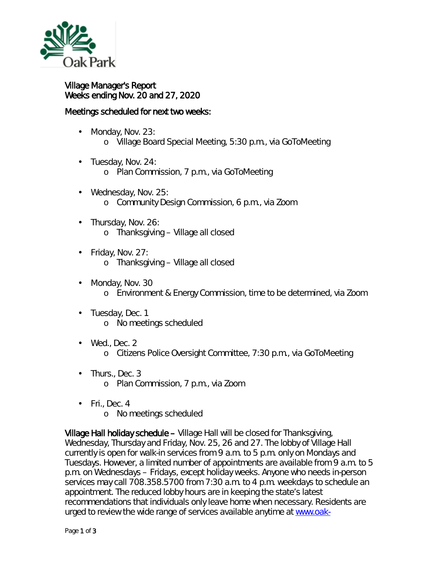

## Village Manager's Report Weeks ending Nov. 20 and 27, 2020

## Meetings scheduled for next two weeks:

- Monday, Nov. 23: ä, o Village Board Special Meeting, 5:30 p.m., via GoToMeeting
- Tuesday, Nov. 24:
	- o Plan Commission, 7 p.m., via GoToMeeting
- Wednesday, Nov. 25: o Community Design Commission, 6 p.m., via Zoom
- Thursday, Nov. 26: o Thanksgiving – Village all closed
- Friday, Nov. 27: ä, o Thanksgiving – Village all closed
- Monday, Nov. 30 ä, o Environment & Energy Commission, time to be determined, via Zoom
- Tuesday, Dec. 1 ä, o No meetings scheduled
- Wed., Dec. 2  $\mathbf{r}$ o Citizens Police Oversight Committee, 7:30 p.m., via GoToMeeting
- Thurs., Dec. 3 ä, o Plan Commission, 7 p.m., via Zoom
- $\cdot$  Fri., Dec. 4 o No meetings scheduled

Village Hall holiday schedule – Village Hall will be closed for Thanksgiving, Wednesday, Thursday and Friday, Nov. 25, 26 and 27. The lobby of Village Hall currently is open for walk-in services from 9 a.m. to 5 p.m. only on Mondays and Tuesdays. However, a limited number of appointments are available from 9 a.m. to 5 p.m. on Wednesdays – Fridays, except holiday weeks. Anyone who needs in-person services may call 708.358.5700 from 7:30 a.m. to 4 p.m. weekdays to schedule an appointment. The reduced lobby hours are in keeping the [state's latest](http://dph.illinois.gov/news/public-health-officials-announce-12657-new-cases-coronavirus-disease)  [recommendations](http://dph.illinois.gov/news/public-health-officials-announce-12657-new-cases-coronavirus-disease) that individuals only leave home when necessary. Residents are urged to review the wide range of services available anytime at [www.oak-](http://www.oak-park.us/onlineservices)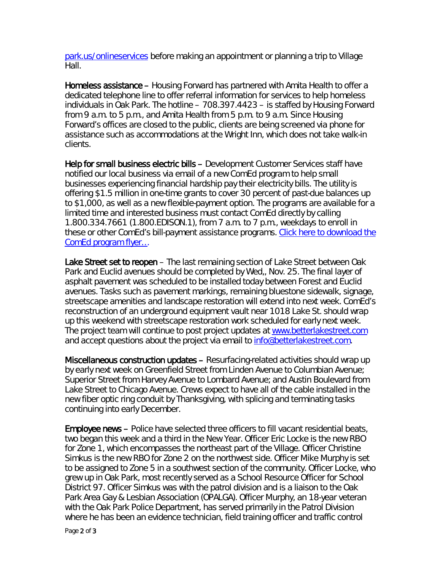[park.us/onlineservices](http://www.oak-park.us/onlineservices) before making an appointment or planning a trip to Village Hall.

Homeless assistance – Housing Forward has partnered with Amita Health to offer a dedicated telephone line to offer referral information for services to help homeless individuals in Oak Park. The hotline – 708.397.4423 – is staffed by Housing Forward from 9 a.m. to 5 p.m., and Amita Health from 5 p.m. to 9 a.m. Since Housing Forward's offices are closed to the public, clients are being screened via phone for assistance such as accommodations at the Wright Inn, which does not take walk-in clients.

Help for small business electric bills – Development Customer Services staff have notified our local business via email of a new ComEd program to help small businesses experiencing financial hardship pay their electricity bills. The utility is offering \$1.5 million in one-time grants to cover 30 percent of past-due balances up to \$1,000, as well as a new flexible-payment option. The programs are available for a limited time and interested business must contact ComEd directly by calling 1.800.334.7661 (1.800.EDISON.1), from 7 a.m. to 7 p.m., weekdays to enroll in these or other ComEd's bill-payment assistance programs. [Click here to download the](https://www.oak-park.us/sites/default/files/456678891/comed_grant_information.pdf)  [ComEd program flyer…](https://www.oak-park.us/sites/default/files/456678891/comed_grant_information.pdf)

Lake Street set to reopen – The last remaining section of Lake Street between Oak Park and Euclid avenues should be completed by Wed,, Nov. 25. The final layer of asphalt pavement was scheduled to be installed today between Forest and Euclid avenues. Tasks such as pavement markings, remaining bluestone sidewalk, signage, streetscape amenities and landscape restoration will extend into next week. ComEd's reconstruction of an underground equipment vault near 1018 Lake St. should wrap up this weekend with streetscape restoration work scheduled for early next week. The project team will continue to post project updates at [www.betterlakestreet.com](http://www.betterlakestreet.com/) and accept questions about the project via email to [info@betterlakestreet.com.](mailto:info@betterlakestreet.com)

Miscellaneous construction updates – Resurfacing-related activities should wrap up by early next week on Greenfield Street from Linden Avenue to Columbian Avenue; Superior Street from Harvey Avenue to Lombard Avenue; and Austin Boulevard from Lake Street to Chicago Avenue. Crews expect to have all of the cable installed in the new fiber optic ring conduit by Thanksgiving, with splicing and terminating tasks continuing into early December.

Employee news – Police have selected three officers to fill vacant residential beats, two began this week and a third in the New Year. Officer Eric Locke is the new RBO for Zone 1, which encompasses the northeast part of the Village. Officer Christine Simkus is the new RBO for Zone 2 on the northwest side. Officer Mike Murphy is set to be assigned to Zone 5 in a southwest section of the community. Officer Locke, who grew up in Oak Park, most recently served as a School Resource Officer for School District 97. Officer Simkus was with the patrol division and is a liaison to the Oak Park Area Gay & Lesbian Association (OPALGA). Officer Murphy, an 18-year veteran with the Oak Park Police Department, has served primarily in the Patrol Division where he has been an evidence technician, field training officer and traffic control